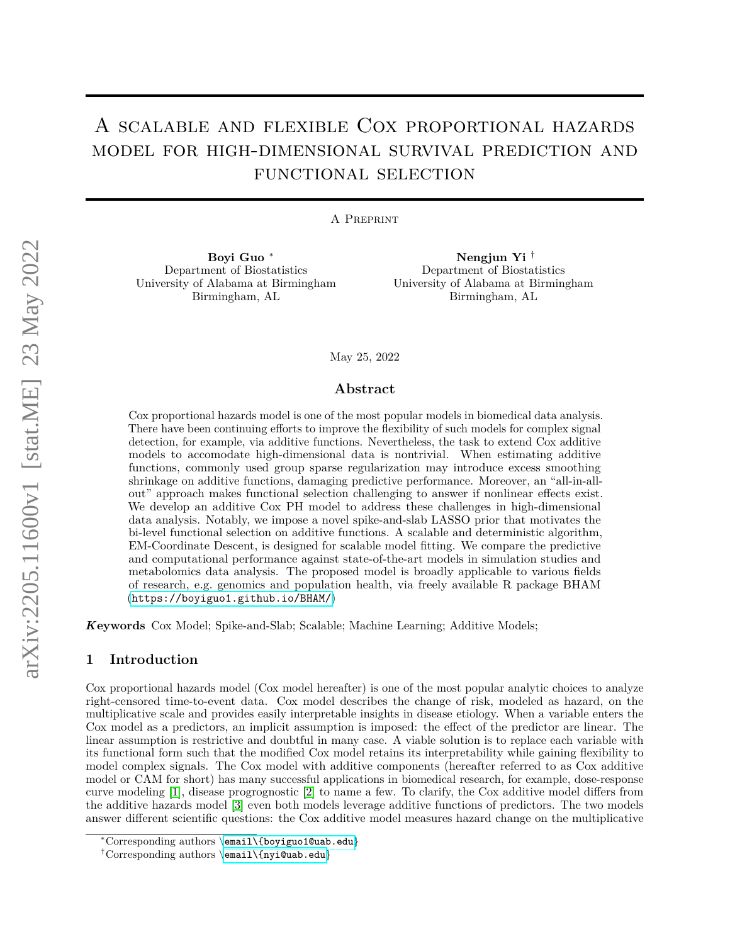# A scalable and flexible Cox proportional hazards model for high-dimensional survival prediction and functional selection

A Preprint

**Boyi Guo** <sup>∗</sup> Department of Biostatistics University of Alabama at Birmingham Birmingham, AL

**Nengjun Yi** † Department of Biostatistics University of Alabama at Birmingham Birmingham, AL

May 25, 2022

## **Abstract**

Cox proportional hazards model is one of the most popular models in biomedical data analysis. There have been continuing efforts to improve the flexibility of such models for complex signal detection, for example, via additive functions. Nevertheless, the task to extend Cox additive models to accomodate high-dimensional data is nontrivial. When estimating additive functions, commonly used group sparse regularization may introduce excess smoothing shrinkage on additive functions, damaging predictive performance. Moreover, an "all-in-allout" approach makes functional selection challenging to answer if nonlinear effects exist. We develop an additive Cox PH model to address these challenges in high-dimensional data analysis. Notably, we impose a novel spike-and-slab LASSO prior that motivates the bi-level functional selection on additive functions. A scalable and deterministic algorithm, EM-Coordinate Descent, is designed for scalable model fitting. We compare the predictive and computational performance against state-of-the-art models in simulation studies and metabolomics data analysis. The proposed model is broadly applicable to various fields of research, e.g. genomics and population health, via freely available R package BHAM (<https://boyiguo1.github.io/BHAM/>)

*K***eywords** Cox Model; Spike-and-Slab; Scalable; Machine Learning; Additive Models;

#### **1 Introduction**

Cox proportional hazards model (Cox model hereafter) is one of the most popular analytic choices to analyze right-censored time-to-event data. Cox model describes the change of risk, modeled as hazard, on the multiplicative scale and provides easily interpretable insights in disease etiology. When a variable enters the Cox model as a predictors, an implicit assumption is imposed: the effect of the predictor are linear. The linear assumption is restrictive and doubtful in many case. A viable solution is to replace each variable with its functional form such that the modified Cox model retains its interpretability while gaining flexibility to model complex signals. The Cox model with additive components (hereafter referred to as Cox additive model or CAM for short) has many successful applications in biomedical research, for example, dose-response curve modeling [\[1\]](#page-11-0), disease progrognostic [\[2\]](#page-11-1) to name a few. To clarify, the Cox additive model differs from the additive hazards model [\[3\]](#page-11-2) even both models leverage additive functions of predictors. The two models answer different scientific questions: the Cox additive model measures hazard change on the multiplicative

<sup>∗</sup>Corresponding authors \[email\{boyiguo1@uab.edu](mailto:email%7Bboyiguo1@uab.edu)}

<sup>†</sup>Corresponding authors \[email\{nyi@uab.edu](mailto:email%7Bnyi@uab.edu)}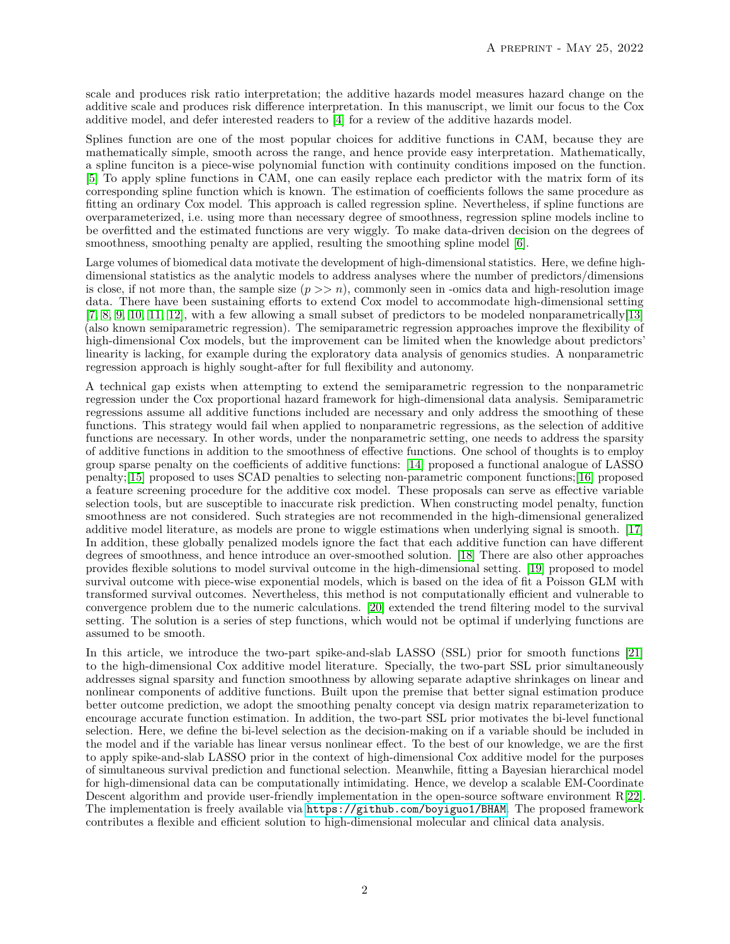scale and produces risk ratio interpretation; the additive hazards model measures hazard change on the additive scale and produces risk difference interpretation. In this manuscript, we limit our focus to the Cox additive model, and defer interested readers to [\[4\]](#page-11-3) for a review of the additive hazards model.

Splines function are one of the most popular choices for additive functions in CAM, because they are mathematically simple, smooth across the range, and hence provide easy interpretation. Mathematically, a spline funciton is a piece-wise polynomial function with continuity conditions imposed on the function. [\[5\]](#page-11-4) To apply spline functions in CAM, one can easily replace each predictor with the matrix form of its corresponding spline function which is known. The estimation of coefficients follows the same procedure as fitting an ordinary Cox model. This approach is called regression spline. Nevertheless, if spline functions are overparameterized, i.e. using more than necessary degree of smoothness, regression spline models incline to be overfitted and the estimated functions are very wiggly. To make data-driven decision on the degrees of smoothness, smoothing penalty are applied, resulting the smoothing spline model [\[6\]](#page-11-5).

Large volumes of biomedical data motivate the development of high-dimensional statistics. Here, we define highdimensional statistics as the analytic models to address analyses where the number of predictors/dimensions is close, if not more than, the sample size  $(p \gg n)$ , commonly seen in -omics data and high-resolution image data. There have been sustaining efforts to extend Cox model to accommodate high-dimensional setting [\[7,](#page-11-6) [8,](#page-11-7) [9,](#page-11-8) [10,](#page-11-9) [11,](#page-11-10) [12\]](#page-11-11), with a few allowing a small subset of predictors to be modeled nonparametrically[\[13\]](#page-11-12) (also known semiparametric regression). The semiparametric regression approaches improve the flexibility of high-dimensional Cox models, but the improvement can be limited when the knowledge about predictors' linearity is lacking, for example during the exploratory data analysis of genomics studies. A nonparametric regression approach is highly sought-after for full flexibility and autonomy.

A technical gap exists when attempting to extend the semiparametric regression to the nonparametric regression under the Cox proportional hazard framework for high-dimensional data analysis. Semiparametric regressions assume all additive functions included are necessary and only address the smoothing of these functions. This strategy would fail when applied to nonparametric regressions, as the selection of additive functions are necessary. In other words, under the nonparametric setting, one needs to address the sparsity of additive functions in addition to the smoothness of effective functions. One school of thoughts is to employ group sparse penalty on the coefficients of additive functions: [\[14\]](#page-11-13) proposed a functional analogue of LASSO penalty;[\[15\]](#page-11-14) proposed to uses SCAD penalties to selecting non-parametric component functions;[\[16\]](#page-11-15) proposed a feature screening procedure for the additive cox model. These proposals can serve as effective variable selection tools, but are susceptible to inaccurate risk prediction. When constructing model penalty, function smoothness are not considered. Such strategies are not recommended in the high-dimensional generalized additive model literature, as models are prone to wiggle estimations when underlying signal is smooth. [\[17\]](#page-11-16) In addition, these globally penalized models ignore the fact that each additive function can have different degrees of smoothness, and hence introduce an over-smoothed solution. [\[18\]](#page-11-17) There are also other approaches provides flexible solutions to model survival outcome in the high-dimensional setting. [\[19\]](#page-11-18) proposed to model survival outcome with piece-wise exponential models, which is based on the idea of fit a Poisson GLM with transformed survival outcomes. Nevertheless, this method is not computationally efficient and vulnerable to convergence problem due to the numeric calculations. [\[20\]](#page-11-19) extended the trend filtering model to the survival setting. The solution is a series of step functions, which would not be optimal if underlying functions are assumed to be smooth.

In this article, we introduce the two-part spike-and-slab LASSO (SSL) prior for smooth functions [\[21\]](#page-11-20) to the high-dimensional Cox additive model literature. Specially, the two-part SSL prior simultaneously addresses signal sparsity and function smoothness by allowing separate adaptive shrinkages on linear and nonlinear components of additive functions. Built upon the premise that better signal estimation produce better outcome prediction, we adopt the smoothing penalty concept via design matrix reparameterization to encourage accurate function estimation. In addition, the two-part SSL prior motivates the bi-level functional selection. Here, we define the bi-level selection as the decision-making on if a variable should be included in the model and if the variable has linear versus nonlinear effect. To the best of our knowledge, we are the first to apply spike-and-slab LASSO prior in the context of high-dimensional Cox additive model for the purposes of simultaneous survival prediction and functional selection. Meanwhile, fitting a Bayesian hierarchical model for high-dimensional data can be computationally intimidating. Hence, we develop a scalable EM-Coordinate Descent algorithm and provide user-friendly implementation in the open-source software environment R[\[22\]](#page-11-21). The implementation is freely available via <https://github.com/boyiguo1/BHAM>. The proposed framework contributes a flexible and efficient solution to high-dimensional molecular and clinical data analysis.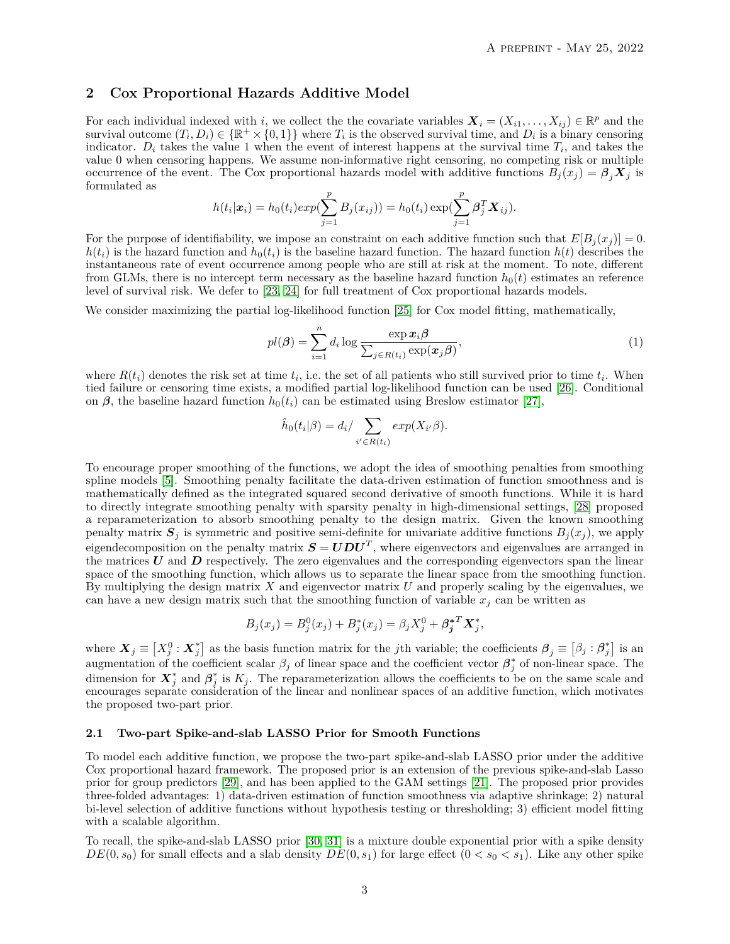#### **2 Cox Proportional Hazards Additive Model**

For each individual indexed with *i*, we collect the the covariate variables  $\mathbf{X}_i = (X_{i1}, \dots, X_{ij}) \in \mathbb{R}^p$  and the survival outcome  $(T_i, D_i) \in \{\mathbb{R}^+ \times (0,1)\}\$  where  $T_i$  is the observed survival time, and  $D_i$  is a binary censoring indicator.  $D_i$  takes the value 1 when the event of interest happens at the survival time  $T_i$ , and takes the value 0 when censoring happens. We assume non-informative right censoring, no competing risk or multiple occurrence of the event. The Cox proportional hazards model with additive functions  $B_j(x_j) = \beta_j X_j$  is formulated as

$$
h(t_i|\mathbf{x}_i) = h_0(t_i) exp(\sum_{j=1}^p B_j(x_{ij})) = h_0(t_i) exp(\sum_{j=1}^p \beta_j^T \mathbf{X}_{ij}).
$$

For the purpose of identifiability, we impose an constraint on each additive function such that  $E[B_i(x_i)] = 0$ .  $h(t_i)$  is the hazard function and  $h_0(t_i)$  is the baseline hazard function. The hazard function  $h(t)$  describes the instantaneous rate of event occurrence among people who are still at risk at the moment. To note, different from GLMs, there is no intercept term necessary as the baseline hazard function  $h_0(t)$  estimates an reference level of survival risk. We defer to [\[23,](#page-11-22) [24\]](#page-12-0) for full treatment of Cox proportional hazards models.

We consider maximizing the partial log-likelihood function [\[25\]](#page-12-1) for Cox model fitting, mathematically,

<span id="page-2-0"></span>
$$
pl(\boldsymbol{\beta}) = \sum_{i=1}^{n} d_i \log \frac{\exp \boldsymbol{x}_i \boldsymbol{\beta}}{\sum_{j \in R(t_i)} \exp(\boldsymbol{x}_j \boldsymbol{\beta})},
$$
\n(1)

where  $R(t_i)$  denotes the risk set at time  $t_i$ , i.e. the set of all patients who still survived prior to time  $t_i$ . When tied failure or censoring time exists, a modified partial log-likelihood function can be used [\[26\]](#page-12-2). Conditional on  $\beta$ , the baseline hazard function  $h_0(t_i)$  can be estimated using Breslow estimator [\[27\]](#page-12-3),

$$
\hat{h}_0(t_i|\beta) = d_i / \sum_{i' \in R(t_i)} exp(X_{i'}\beta).
$$

To encourage proper smoothing of the functions, we adopt the idea of smoothing penalties from smoothing spline models [\[5\]](#page-11-4). Smoothing penalty facilitate the data-driven estimation of function smoothness and is mathematically defined as the integrated squared second derivative of smooth functions. While it is hard to directly integrate smoothing penalty with sparsity penalty in high-dimensional settings, [\[28\]](#page-12-4) proposed a reparameterization to absorb smoothing penalty to the design matrix. Given the known smoothing penalty matrix  $S_j$  is symmetric and positive semi-definite for univariate additive functions  $B_j(x_j)$ , we apply eigendecomposition on the penalty matrix  $S = UDU<sup>T</sup>$ , where eigenvectors and eigenvalues are arranged in the matrices *U* and *D* respectively. The zero eigenvalues and the corresponding eigenvectors span the linear space of the smoothing function, which allows us to separate the linear space from the smoothing function. By multiplying the design matrix *X* and eigenvector matrix *U* and properly scaling by the eigenvalues, we can have a new design matrix such that the smoothing function of variable  $x_j$  can be written as

$$
B_j(x_j) = B_j^0(x_j) + B_j^*(x_j) = \beta_j X_j^0 + \beta_j^{*T} X_j^*,
$$

where  $\mathbf{X}_j \equiv \begin{bmatrix} X_j^0 : X_j^* \end{bmatrix}$  as the basis function matrix for the *j*th variable; the coefficients  $\boldsymbol{\beta}_j \equiv \begin{bmatrix} \beta_j : \boldsymbol{\beta}_j^* \end{bmatrix}$  is an augmentation of the coefficient scalar  $\beta_j$  of linear space and the coefficient vector  $\beta_j^*$  of non-linear space. The dimension for  $X_j^*$  and  $\beta_j^*$  is  $K_j$ . The reparameterization allows the coefficients to be on the same scale and encourages separate consideration of the linear and nonlinear spaces of an additive function, which motivates the proposed two-part prior.

#### **2.1 Two-part Spike-and-slab LASSO Prior for Smooth Functions**

To model each additive function, we propose the two-part spike-and-slab LASSO prior under the additive Cox proportional hazard framework. The proposed prior is an extension of the previous spike-and-slab Lasso prior for group predictors [\[29\]](#page-12-5), and has been applied to the GAM settings [\[21\]](#page-11-20). The proposed prior provides three-folded advantages: 1) data-driven estimation of function smoothness via adaptive shrinkage; 2) natural bi-level selection of additive functions without hypothesis testing or thresholding; 3) efficient model fitting with a scalable algorithm.

To recall, the spike-and-slab LASSO prior [\[30,](#page-12-6) [31\]](#page-12-7) is a mixture double exponential prior with a spike density  $DE(0, s_0)$  for small effects and a slab density  $DE(0, s_1)$  for large effect  $(0 < s_0 < s_1)$ . Like any other spike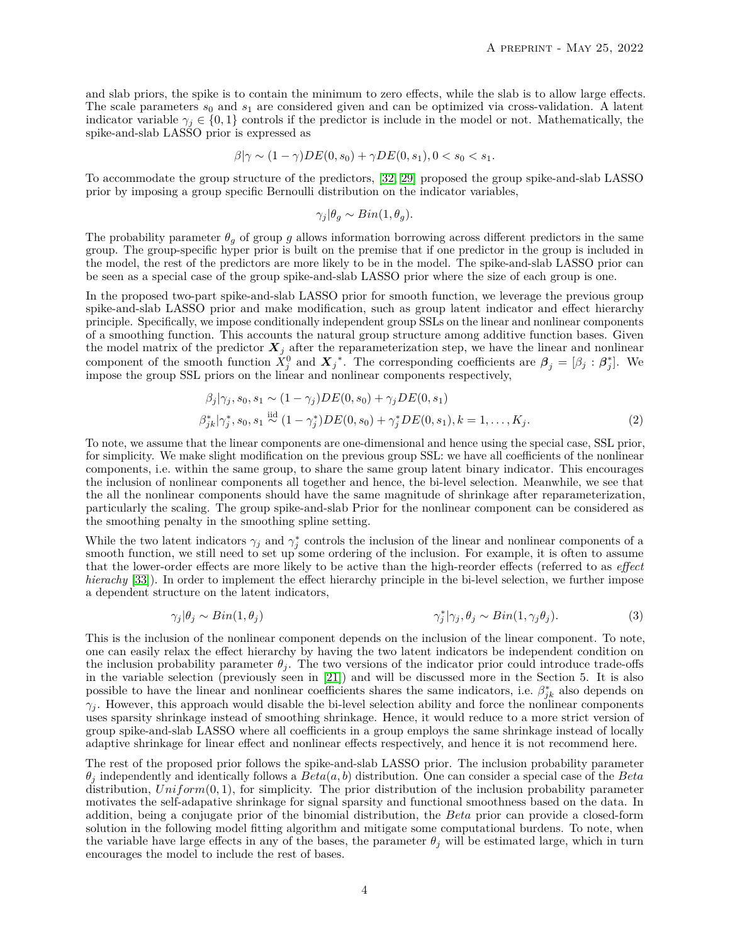and slab priors, the spike is to contain the minimum to zero effects, while the slab is to allow large effects. The scale parameters  $s_0$  and  $s_1$  are considered given and can be optimized via cross-validation. A latent indicator variable  $\gamma_j \in \{0,1\}$  controls if the predictor is include in the model or not. Mathematically, the spike-and-slab LASSO prior is expressed as

$$
\beta|\gamma \sim (1-\gamma)DE(0, s_0) + \gamma DE(0, s_1), 0 < s_0 < s_1.
$$

To accommodate the group structure of the predictors, [\[32,](#page-12-8) [29\]](#page-12-5) proposed the group spike-and-slab LASSO prior by imposing a group specific Bernoulli distribution on the indicator variables,

$$
\gamma_j | \theta_g \sim Bin(1, \theta_g).
$$

The probability parameter  $\theta_q$  of group g allows information borrowing across different predictors in the same group. The group-specific hyper prior is built on the premise that if one predictor in the group is included in the model, the rest of the predictors are more likely to be in the model. The spike-and-slab LASSO prior can be seen as a special case of the group spike-and-slab LASSO prior where the size of each group is one.

In the proposed two-part spike-and-slab LASSO prior for smooth function, we leverage the previous group spike-and-slab LASSO prior and make modification, such as group latent indicator and effect hierarchy principle. Specifically, we impose conditionally independent group SSLs on the linear and nonlinear components of a smoothing function. This accounts the natural group structure among additive function bases. Given the model matrix of the predictor  $\mathbf{X}_j$  after the reparameterization step, we have the linear and nonlinear component of the smooth function  $\tilde{X}_j^0$  and  $\tilde{X}_j^*$ . The corresponding coefficients are  $\beta_j = [\beta_j : \beta_j^*]$ . We impose the group SSL priors on the linear and nonlinear components respectively,

$$
\beta_j|\gamma_j, s_0, s_1 \sim (1 - \gamma_j)DE(0, s_0) + \gamma_j DE(0, s_1)
$$
  

$$
\beta_{jk}^*|\gamma_j^*, s_0, s_1 \stackrel{iid}{\sim} (1 - \gamma_j^*)DE(0, s_0) + \gamma_j^* DE(0, s_1), k = 1, ..., K_j.
$$
 (2)

To note, we assume that the linear components are one-dimensional and hence using the special case, SSL prior, for simplicity. We make slight modification on the previous group SSL: we have all coefficients of the nonlinear components, i.e. within the same group, to share the same group latent binary indicator. This encourages the inclusion of nonlinear components all together and hence, the bi-level selection. Meanwhile, we see that the all the nonlinear components should have the same magnitude of shrinkage after reparameterization, particularly the scaling. The group spike-and-slab Prior for the nonlinear component can be considered as the smoothing penalty in the smoothing spline setting.

While the two latent indicators  $\gamma_j$  and  $\gamma_j^*$  controls the inclusion of the linear and nonlinear components of a smooth function, we still need to set up some ordering of the inclusion. For example, it is often to assume that the lower-order effects are more likely to be active than the high-reorder effects (referred to as *effect hierachy* [\[33\]](#page-12-9)). In order to implement the effect hierarchy principle in the bi-level selection, we further impose a dependent structure on the latent indicators,

$$
\gamma_j|\theta_j \sim Bin(1,\theta_j) \qquad \qquad \gamma_j^*|\gamma_j, \theta_j \sim Bin(1,\gamma_j\theta_j). \qquad (3)
$$

This is the inclusion of the nonlinear component depends on the inclusion of the linear component. To note, one can easily relax the effect hierarchy by having the two latent indicators be independent condition on the inclusion probability parameter  $\theta_i$ . The two versions of the indicator prior could introduce trade-offs in the variable selection (previously seen in [\[21\]](#page-11-20)) and will be discussed more in the Section 5. It is also possible to have the linear and nonlinear coefficients shares the same indicators, i.e.  $\beta_{jk}^*$  also depends on  $\gamma_i$ . However, this approach would disable the bi-level selection ability and force the nonlinear components uses sparsity shrinkage instead of smoothing shrinkage. Hence, it would reduce to a more strict version of group spike-and-slab LASSO where all coefficients in a group employs the same shrinkage instead of locally adaptive shrinkage for linear effect and nonlinear effects respectively, and hence it is not recommend here.

The rest of the proposed prior follows the spike-and-slab LASSO prior. The inclusion probability parameter *θ<sup>j</sup>* independently and identically follows a *Beta*(*a, b*) distribution. One can consider a special case of the *Beta* distribution, *Uniform*(0*,* 1), for simplicity. The prior distribution of the inclusion probability parameter motivates the self-adapative shrinkage for signal sparsity and functional smoothness based on the data. In addition, being a conjugate prior of the binomial distribution, the *Beta* prior can provide a closed-form solution in the following model fitting algorithm and mitigate some computational burdens. To note, when the variable have large effects in any of the bases, the parameter  $\theta_j$  will be estimated large, which in turn encourages the model to include the rest of bases.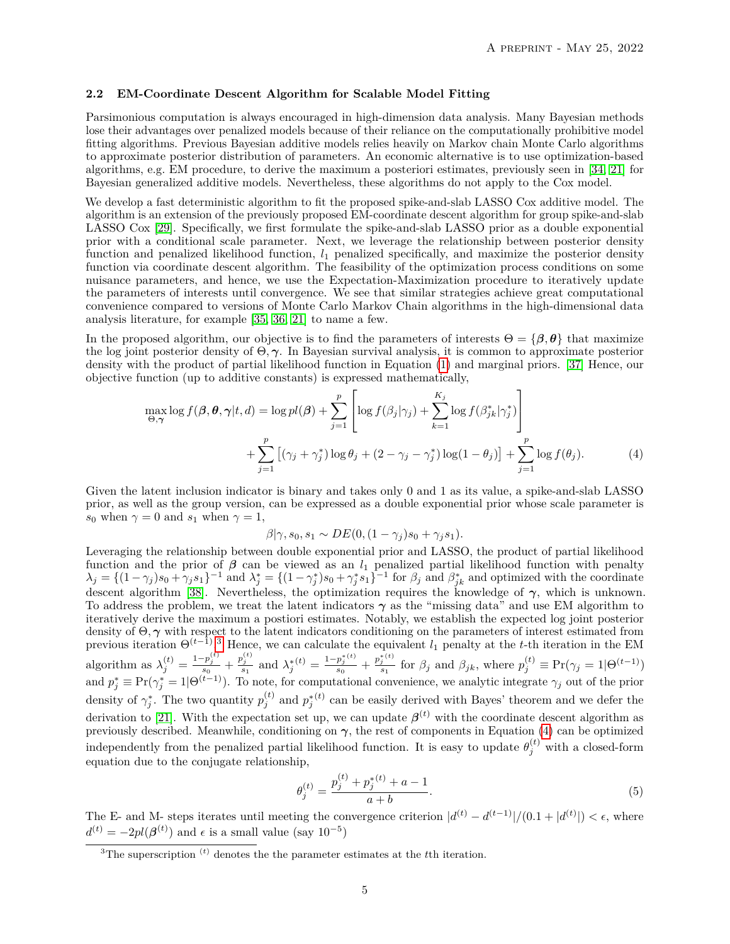#### **2.2 EM-Coordinate Descent Algorithm for Scalable Model Fitting**

Parsimonious computation is always encouraged in high-dimension data analysis. Many Bayesian methods lose their advantages over penalized models because of their reliance on the computationally prohibitive model fitting algorithms. Previous Bayesian additive models relies heavily on Markov chain Monte Carlo algorithms to approximate posterior distribution of parameters. An economic alternative is to use optimization-based algorithms, e.g. EM procedure, to derive the maximum a posteriori estimates, previously seen in [\[34,](#page-12-10) [21\]](#page-11-20) for Bayesian generalized additive models. Nevertheless, these algorithms do not apply to the Cox model.

We develop a fast deterministic algorithm to fit the proposed spike-and-slab LASSO Cox additive model. The algorithm is an extension of the previously proposed EM-coordinate descent algorithm for group spike-and-slab LASSO Cox [\[29\]](#page-12-5). Specifically, we first formulate the spike-and-slab LASSO prior as a double exponential prior with a conditional scale parameter. Next, we leverage the relationship between posterior density function and penalized likelihood function, *l*<sup>1</sup> penalized specifically, and maximize the posterior density function via coordinate descent algorithm. The feasibility of the optimization process conditions on some nuisance parameters, and hence, we use the Expectation-Maximization procedure to iteratively update the parameters of interests until convergence. We see that similar strategies achieve great computational convenience compared to versions of Monte Carlo Markov Chain algorithms in the high-dimensional data analysis literature, for example [\[35,](#page-12-11) [36,](#page-12-12) [21\]](#page-11-20) to name a few.

In the proposed algorithm, our objective is to find the parameters of interests  $\Theta = {\beta, \theta}$  that maximize the log joint posterior density of Θ*, γ*. In Bayesian survival analysis, it is common to approximate posterior density with the product of partial likelihood function in Equation [\(1\)](#page-2-0) and marginal priors. [\[37\]](#page-12-13) Hence, our objective function (up to additive constants) is expressed mathematically,

$$
\max_{\Theta,\gamma} \log f(\beta, \theta, \gamma | t, d) = \log pl(\beta) + \sum_{j=1}^{p} \left[ \log f(\beta_j | \gamma_j) + \sum_{k=1}^{K_j} \log f(\beta_{jk}^* | \gamma_j^*) \right] + \sum_{j=1}^{p} \left[ (\gamma_j + \gamma_j^*) \log \theta_j + (2 - \gamma_j - \gamma_j^*) \log (1 - \theta_j) \right] + \sum_{j=1}^{p} \log f(\theta_j).
$$
 (4)

Given the latent inclusion indicator is binary and takes only 0 and 1 as its value, a spike-and-slab LASSO prior, as well as the group version, can be expressed as a double exponential prior whose scale parameter is *s*<sup>0</sup> when  $\gamma = 0$  and *s*<sup>1</sup> when  $\gamma = 1$ ,

<span id="page-4-2"></span><span id="page-4-1"></span>
$$
\beta|\gamma, s_0, s_1 \sim DE(0, (1 - \gamma_j)s_0 + \gamma_j s_1).
$$

Leveraging the relationship between double exponential prior and LASSO, the product of partial likelihood function and the prior of  $\beta$  can be viewed as an  $l_1$  penalized partial likelihood function with penalty  $\lambda_j = \{(1-\gamma_j)s_0 + \gamma_j s_1\}^{-1}$  and  $\lambda_j^* = \{(1-\gamma_j^*)s_0 + \gamma_j^* s_1\}^{-1}$  for  $\beta_j$  and  $\beta_{jk}^*$  and optimized with the coordinate descent algorithm [\[38\]](#page-12-14). Nevertheless, the optimization requires the knowledge of *γ*, which is unknown. To address the problem, we treat the latent indicators *γ* as the "missing data" and use EM algorithm to iteratively derive the maximum a postiori estimates. Notably, we establish the expected log joint posterior density of Θ*, γ* with respect to the latent indicators conditioning on the parameters of interest estimated from previous iteration  $\Theta^{(t-1)}$ <sup>[3](#page-4-0)</sup>. Hence, we can calculate the equivalent *l*<sub>1</sub> penalty at the *t*-th iteration in the EM algorithm as  $\lambda_j^{(t)} = \frac{1-p_j^{(t)}}{s_0} + \frac{p_j^{(t)}}{s_1}$  and  $\lambda_j^{*(t)} = \frac{1-p_j^{*(t)}}{s_0}$  $\frac{p_j^{*(t)}}{s_0} + \frac{p_j^{*(t)}}{s_1}$  $\frac{f^{(t)}}{g_1}$  for  $\beta_j$  and  $\beta_{jk}$ , where  $p_j^{(t)} \equiv \Pr(\gamma_j = 1 | \Theta^{(t-1)})$ and  $p_j^* \equiv \Pr(\gamma_j^* = 1 | \Theta^{(t-1)})$ . To note, for computational convenience, we analytic integrate  $\gamma_j$  out of the prior density of  $\gamma_j^*$ . The two quantity  $p_j^{(t)}$  and  $p_j^{*(t)}$  can be easily derived with Bayes' theorem and we defer the derivation to [\[21\]](#page-11-20). With the expectation set up, we can update  $\beta^{(t)}$  with the coordinate descent algorithm as previously described. Meanwhile, conditioning on  $\gamma$ , the rest of components in Equation [\(4\)](#page-4-1) can be optimized independently from the penalized partial likelihood function. It is easy to update  $\theta_j^{(t)}$  with a closed-form equation due to the conjugate relationship,

$$
\theta_j^{(t)} = \frac{p_j^{(t)} + p_j^{*(t)} + a - 1}{a + b}.\tag{5}
$$

The E- and M- steps iterates until meeting the convergence criterion  $|d^{(t)} - d^{(t-1)}|/(0.1 + |d^{(t)}|) < \epsilon$ , where  $d^{(t)} = -2pl(\boldsymbol{\beta}^{(t)})$  and  $\epsilon$  is a small value (say 10<sup>-5</sup>)

<span id="page-4-0"></span><sup>&</sup>lt;sup>3</sup>The superscription <sup>(*t*)</sup> denotes the the parameter estimates at the *t*<sup>th</sup> iteration.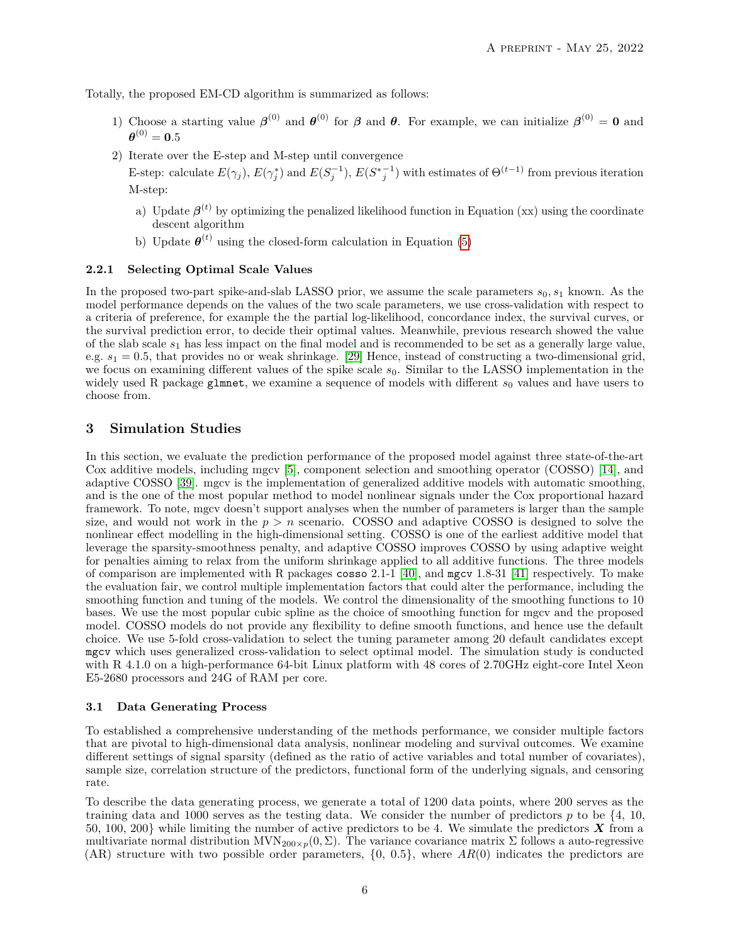Totally, the proposed EM-CD algorithm is summarized as follows:

- 1) Choose a starting value  $\beta^{(0)}$  and  $\theta^{(0)}$  for  $\beta$  and  $\theta$ . For example, we can initialize  $\beta^{(0)} = 0$  and  $\boldsymbol{\theta}^{(0)} = \mathbf{0.5}$
- 2) Iterate over the E-step and M-step until convergence

E-step: calculate  $E(\gamma_j)$ ,  $E(\gamma_j^*)$  and  $E(S_j^{-1})$ ,  $E(S_{j}^{*-1})$  with estimates of  $\Theta^{(t-1)}$  from previous iteration M-step:

- a) Update  $\beta^{(t)}$  by optimizing the penalized likelihood function in Equation (xx) using the coordinate descent algorithm
- b) Update  $\boldsymbol{\theta}^{(t)}$  using the closed-form calculation in Equation [\(5\)](#page-4-2)

#### **2.2.1 Selecting Optimal Scale Values**

In the proposed two-part spike-and-slab LASSO prior, we assume the scale parameters  $s_0, s_1$  known. As the model performance depends on the values of the two scale parameters, we use cross-validation with respect to a criteria of preference, for example the the partial log-likelihood, concordance index, the survival curves, or the survival prediction error, to decide their optimal values. Meanwhile, previous research showed the value of the slab scale *s*<sup>1</sup> has less impact on the final model and is recommended to be set as a generally large value, e.g. *s*<sup>1</sup> = 0*.*5, that provides no or weak shrinkage. [\[29\]](#page-12-5) Hence, instead of constructing a two-dimensional grid, we focus on examining different values of the spike scale *s*0. Similar to the LASSO implementation in the widely used R package glmnet, we examine a sequence of models with different  $s_0$  values and have users to choose from.

## **3 Simulation Studies**

In this section, we evaluate the prediction performance of the proposed model against three state-of-the-art Cox additive models, including mgcv [\[5\]](#page-11-4), component selection and smoothing operator (COSSO) [\[14\]](#page-11-13), and adaptive COSSO [\[39\]](#page-12-15). mgcv is the implementation of generalized additive models with automatic smoothing, and is the one of the most popular method to model nonlinear signals under the Cox proportional hazard framework. To note, mgcv doesn't support analyses when the number of parameters is larger than the sample size, and would not work in the  $p > n$  scenario. COSSO and adaptive COSSO is designed to solve the nonlinear effect modelling in the high-dimensional setting. COSSO is one of the earliest additive model that leverage the sparsity-smoothness penalty, and adaptive COSSO improves COSSO by using adaptive weight for penalties aiming to relax from the uniform shrinkage applied to all additive functions. The three models of comparison are implemented with R packages cosso 2.1-1 [\[40\]](#page-12-16), and mgcv 1.8-31 [\[41\]](#page-12-17) respectively. To make the evaluation fair, we control multiple implementation factors that could alter the performance, including the smoothing function and tuning of the models. We control the dimensionality of the smoothing functions to 10 bases. We use the most popular cubic spline as the choice of smoothing function for mgcv and the proposed model. COSSO models do not provide any flexibility to define smooth functions, and hence use the default choice. We use 5-fold cross-validation to select the tuning parameter among 20 default candidates except mgcv which uses generalized cross-validation to select optimal model. The simulation study is conducted with R 4.1.0 on a high-performance 64-bit Linux platform with 48 cores of 2.70GHz eight-core Intel Xeon E5-2680 processors and 24G of RAM per core.

#### **3.1 Data Generating Process**

To established a comprehensive understanding of the methods performance, we consider multiple factors that are pivotal to high-dimensional data analysis, nonlinear modeling and survival outcomes. We examine different settings of signal sparsity (defined as the ratio of active variables and total number of covariates), sample size, correlation structure of the predictors, functional form of the underlying signals, and censoring rate.

To describe the data generating process, we generate a total of 1200 data points, where 200 serves as the training data and 1000 serves as the testing data. We consider the number of predictors *p* to be {4, 10, 50, 100, 200} while limiting the number of active predictors to be 4. We simulate the predictors *X* from a multivariate normal distribution  $MVN_{200\times p}(0, \Sigma)$ . The variance covariance matrix  $\Sigma$  follows a auto-regressive  $(AR)$  structure with two possible order parameters,  $\{0, 0.5\}$ , where  $AR(0)$  indicates the predictors are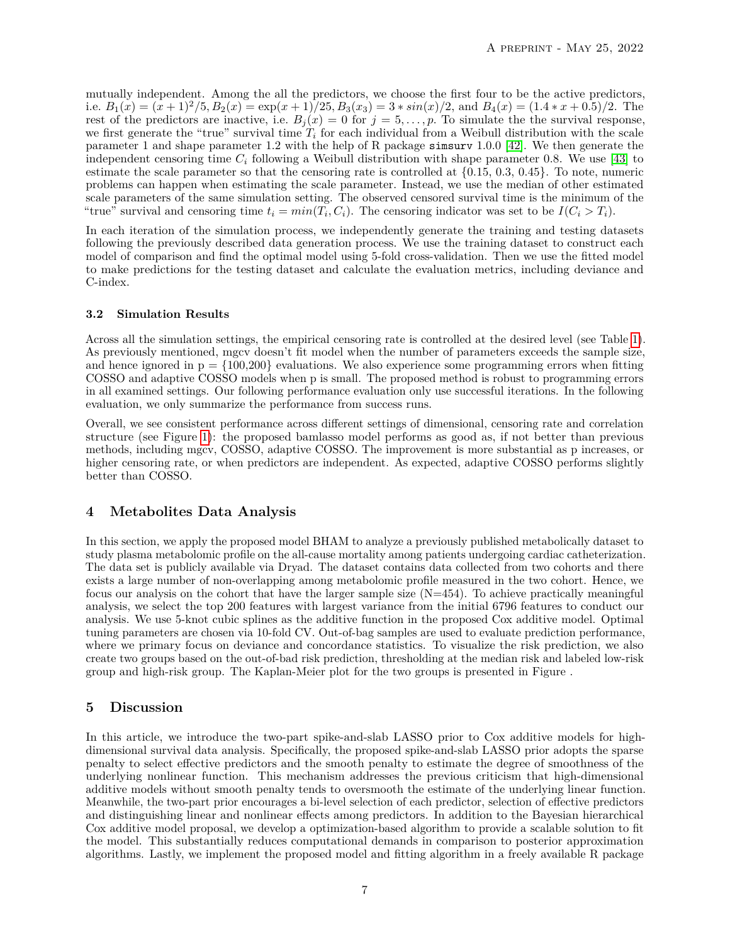mutually independent. Among the all the predictors, we choose the first four to be the active predictors, i.e.  $B_1(x) = (x+1)^2/5$ ,  $B_2(x) = \exp(x+1)/25$ ,  $B_3(x_3) = 3 * \sin(x)/2$ , and  $B_4(x) = (1.4 * x + 0.5)/2$ . The rest of the predictors are inactive, i.e.  $B_j(x) = 0$  for  $j = 5, ..., p$ . To simulate the the survival response, we first generate the "true" survival time  $T_i$  for each individual from a Weibull distribution with the scale parameter 1 and shape parameter 1.2 with the help of R package simsurv 1.0.0 [\[42\]](#page-12-18). We then generate the independent censoring time  $C_i$  following a Weibull distribution with shape parameter 0.8. We use [\[43\]](#page-12-19) to estimate the scale parameter so that the censoring rate is controlled at  $\{0.15, 0.3, 0.45\}$ . To note, numeric problems can happen when estimating the scale parameter. Instead, we use the median of other estimated scale parameters of the same simulation setting. The observed censored survival time is the minimum of the "true" survival and censoring time  $t_i = min(T_i, C_i)$ . The censoring indicator was set to be  $I(C_i > T_i)$ .

In each iteration of the simulation process, we independently generate the training and testing datasets following the previously described data generation process. We use the training dataset to construct each model of comparison and find the optimal model using 5-fold cross-validation. Then we use the fitted model to make predictions for the testing dataset and calculate the evaluation metrics, including deviance and C-index.

#### **3.2 Simulation Results**

Across all the simulation settings, the empirical censoring rate is controlled at the desired level (see Table [1\)](#page-8-0). As previously mentioned, mgcv doesn't fit model when the number of parameters exceeds the sample size, and hence ignored in  $p = \{100,200\}$  evaluations. We also experience some programming errors when fitting COSSO and adaptive COSSO models when p is small. The proposed method is robust to programming errors in all examined settings. Our following performance evaluation only use successful iterations. In the following evaluation, we only summarize the performance from success runs.

Overall, we see consistent performance across different settings of dimensional, censoring rate and correlation structure (see Figure [1\)](#page-9-0): the proposed bamlasso model performs as good as, if not better than previous methods, including mgcv, COSSO, adaptive COSSO. The improvement is more substantial as p increases, or higher censoring rate, or when predictors are independent. As expected, adaptive COSSO performs slightly better than COSSO.

# **4 Metabolites Data Analysis**

In this section, we apply the proposed model BHAM to analyze a previously published metabolically dataset to study plasma metabolomic profile on the all-cause mortality among patients undergoing cardiac catheterization. The data set is publicly available via Dryad. The dataset contains data collected from two cohorts and there exists a large number of non-overlapping among metabolomic profile measured in the two cohort. Hence, we focus our analysis on the cohort that have the larger sample size (N=454). To achieve practically meaningful analysis, we select the top 200 features with largest variance from the initial 6796 features to conduct our analysis. We use 5-knot cubic splines as the additive function in the proposed Cox additive model. Optimal tuning parameters are chosen via 10-fold CV. Out-of-bag samples are used to evaluate prediction performance, where we primary focus on deviance and concordance statistics. To visualize the risk prediction, we also create two groups based on the out-of-bad risk prediction, thresholding at the median risk and labeled low-risk group and high-risk group. The Kaplan-Meier plot for the two groups is presented in Figure .

# **5 Discussion**

In this article, we introduce the two-part spike-and-slab LASSO prior to Cox additive models for highdimensional survival data analysis. Specifically, the proposed spike-and-slab LASSO prior adopts the sparse penalty to select effective predictors and the smooth penalty to estimate the degree of smoothness of the underlying nonlinear function. This mechanism addresses the previous criticism that high-dimensional additive models without smooth penalty tends to oversmooth the estimate of the underlying linear function. Meanwhile, the two-part prior encourages a bi-level selection of each predictor, selection of effective predictors and distinguishing linear and nonlinear effects among predictors. In addition to the Bayesian hierarchical Cox additive model proposal, we develop a optimization-based algorithm to provide a scalable solution to fit the model. This substantially reduces computational demands in comparison to posterior approximation algorithms. Lastly, we implement the proposed model and fitting algorithm in a freely available R package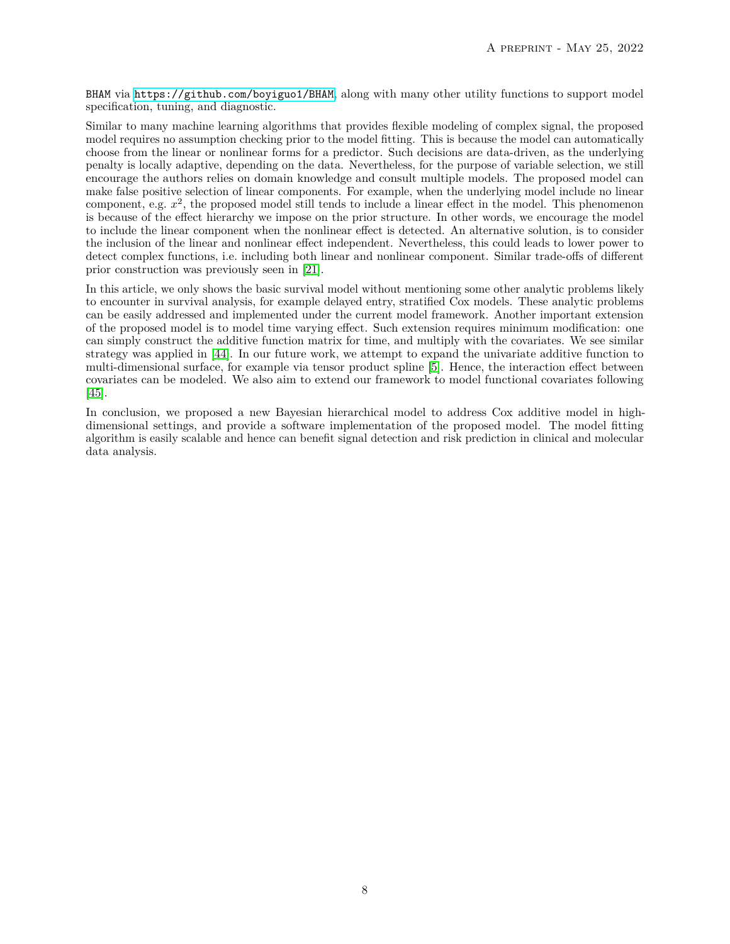BHAM via <https://github.com/boyiguo1/BHAM>, along with many other utility functions to support model specification, tuning, and diagnostic.

Similar to many machine learning algorithms that provides flexible modeling of complex signal, the proposed model requires no assumption checking prior to the model fitting. This is because the model can automatically choose from the linear or nonlinear forms for a predictor. Such decisions are data-driven, as the underlying penalty is locally adaptive, depending on the data. Nevertheless, for the purpose of variable selection, we still encourage the authors relies on domain knowledge and consult multiple models. The proposed model can make false positive selection of linear components. For example, when the underlying model include no linear component, e.g. *x* 2 , the proposed model still tends to include a linear effect in the model. This phenomenon is because of the effect hierarchy we impose on the prior structure. In other words, we encourage the model to include the linear component when the nonlinear effect is detected. An alternative solution, is to consider the inclusion of the linear and nonlinear effect independent. Nevertheless, this could leads to lower power to detect complex functions, i.e. including both linear and nonlinear component. Similar trade-offs of different prior construction was previously seen in [\[21\]](#page-11-20).

In this article, we only shows the basic survival model without mentioning some other analytic problems likely to encounter in survival analysis, for example delayed entry, stratified Cox models. These analytic problems can be easily addressed and implemented under the current model framework. Another important extension of the proposed model is to model time varying effect. Such extension requires minimum modification: one can simply construct the additive function matrix for time, and multiply with the covariates. We see similar strategy was applied in [\[44\]](#page-12-20). In our future work, we attempt to expand the univariate additive function to multi-dimensional surface, for example via tensor product spline [\[5\]](#page-11-4). Hence, the interaction effect between covariates can be modeled. We also aim to extend our framework to model functional covariates following [\[45\]](#page-12-21).

In conclusion, we proposed a new Bayesian hierarchical model to address Cox additive model in highdimensional settings, and provide a software implementation of the proposed model. The model fitting algorithm is easily scalable and hence can benefit signal detection and risk prediction in clinical and molecular data analysis.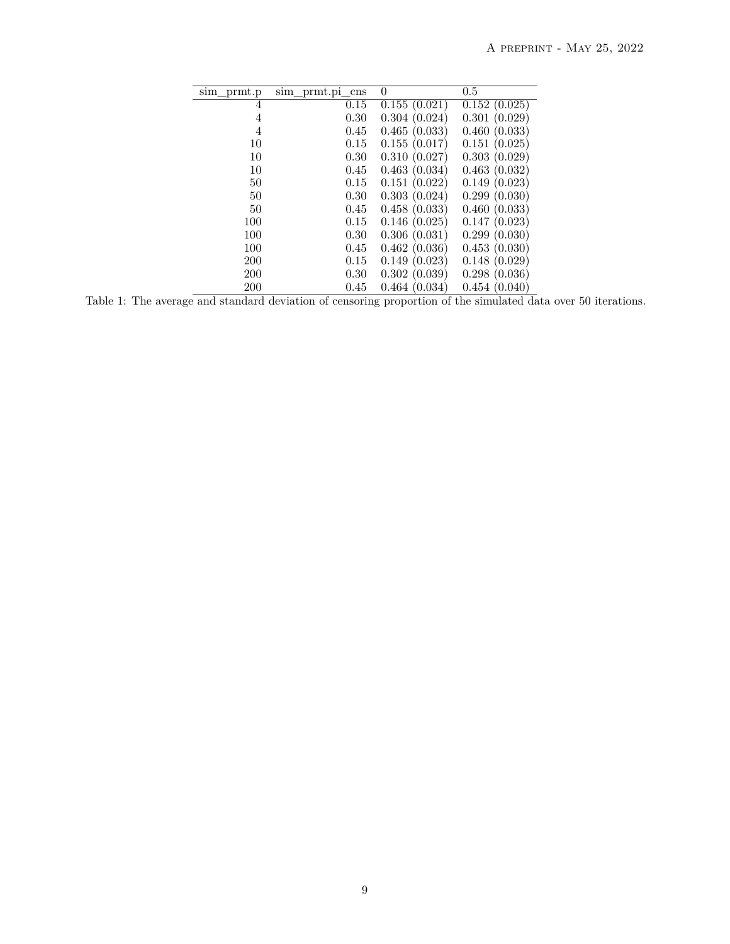| sim prmt.p | sim prmt.pi cns | 0            | 0.5          |
|------------|-----------------|--------------|--------------|
| 4          | 0.15            | 0.155(0.021) | 0.152(0.025) |
| 4          | 0.30            | 0.304(0.024) | 0.301(0.029) |
| 4          | 0.45            | 0.465(0.033) | 0.460(0.033) |
| 10         | 0.15            | 0.155(0.017) | 0.151(0.025) |
| 10         | 0.30            | 0.310(0.027) | 0.303(0.029) |
| 10         | 0.45            | 0.463(0.034) | 0.463(0.032) |
| 50         | 0.15            | 0.151(0.022) | 0.149(0.023) |
| 50         | 0.30            | 0.303(0.024) | 0.299(0.030) |
| 50         | 0.45            | 0.458(0.033) | 0.460(0.033) |
| 100        | 0.15            | 0.146(0.025) | 0.147(0.023) |
| 100        | 0.30            | 0.306(0.031) | 0.299(0.030) |
| 100        | 0.45            | 0.462(0.036) | 0.453(0.030) |
| 200        | 0.15            | 0.149(0.023) | 0.148(0.029) |
| 200        | 0.30            | 0.302(0.039) | 0.298(0.036) |
| 200        | 0.45            | 0.464(0.034) | 0.454(0.040) |

<span id="page-8-0"></span>Table 1: The average and standard deviation of censoring proportion of the simulated data over 50 iterations.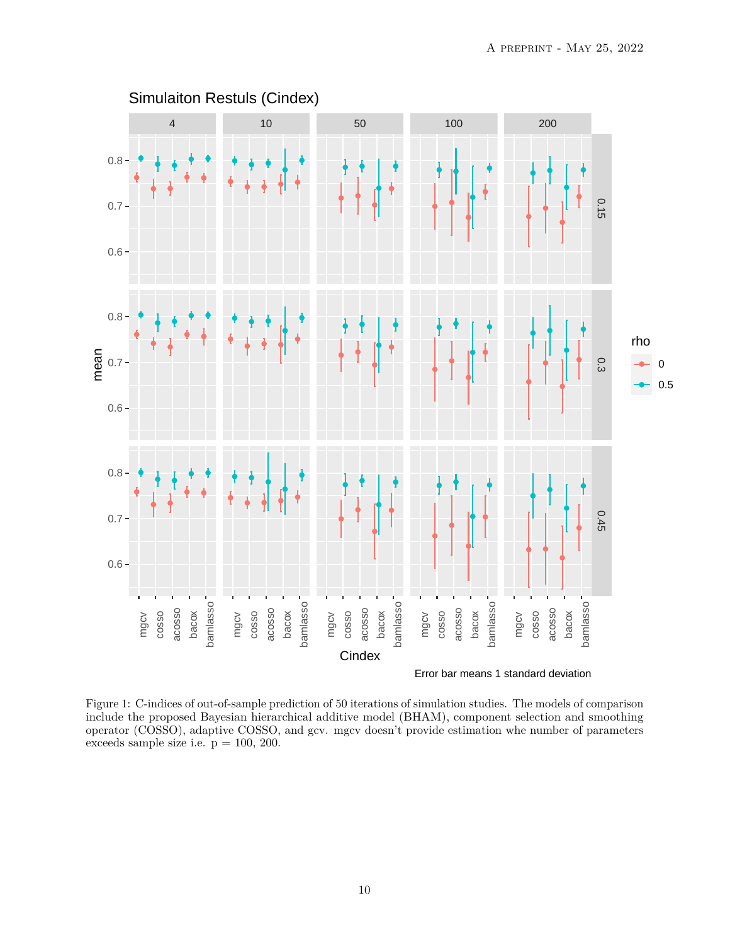

<span id="page-9-0"></span>Figure 1: C-indices of out-of-sample prediction of 50 iterations of simulation studies. The models of comparison include the proposed Bayesian hierarchical additive model (BHAM), component selection and smoothing operator (COSSO), adaptive COSSO, and gcv. mgcv doesn't provide estimation whe number of parameters exceeds sample size i.e.  $p = 100, 200$ .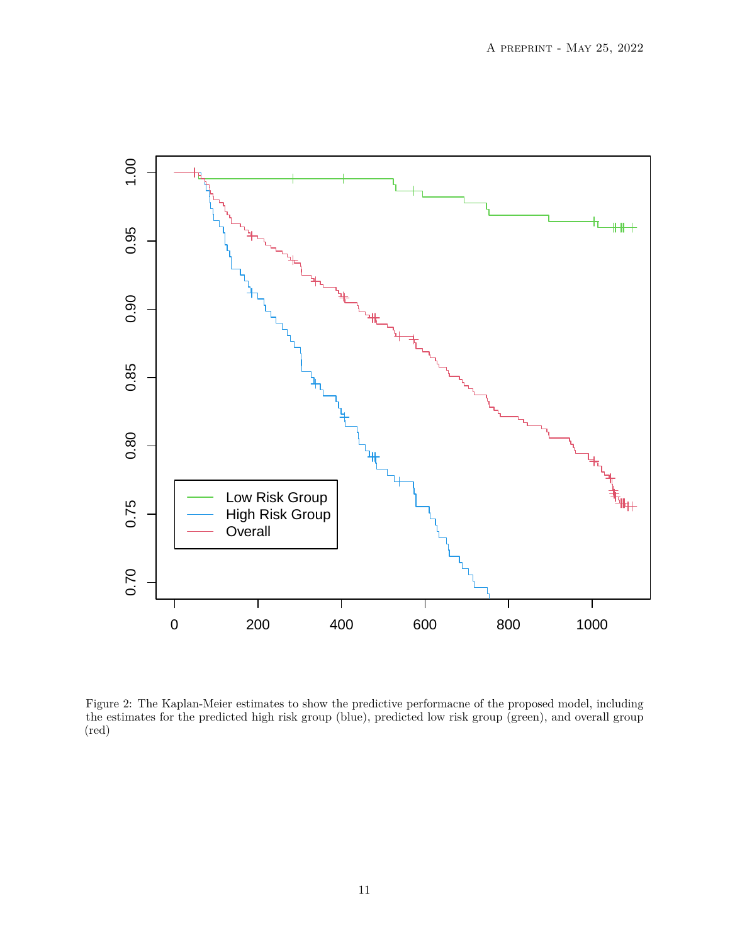

Figure 2: The Kaplan-Meier estimates to show the predictive performacne of the proposed model, including the estimates for the predicted high risk group (blue), predicted low risk group (green), and overall group (red)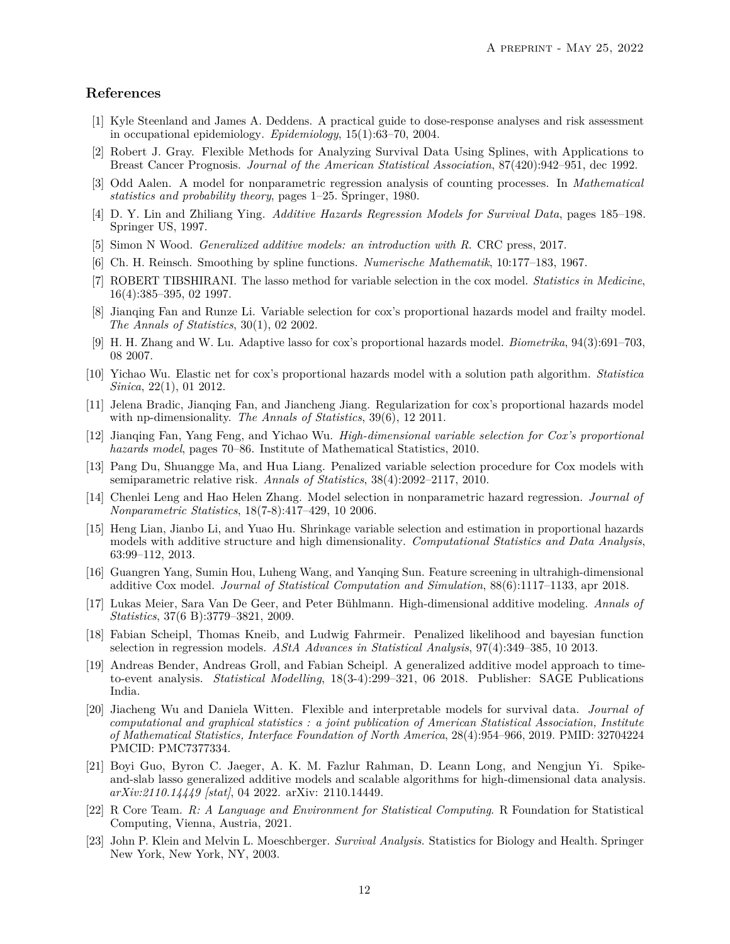# **References**

- <span id="page-11-0"></span>[1] Kyle Steenland and James A. Deddens. A practical guide to dose-response analyses and risk assessment in occupational epidemiology. *Epidemiology*, 15(1):63–70, 2004.
- <span id="page-11-1"></span>[2] Robert J. Gray. Flexible Methods for Analyzing Survival Data Using Splines, with Applications to Breast Cancer Prognosis. *Journal of the American Statistical Association*, 87(420):942–951, dec 1992.
- <span id="page-11-2"></span>[3] Odd Aalen. A model for nonparametric regression analysis of counting processes. In *Mathematical statistics and probability theory*, pages 1–25. Springer, 1980.
- <span id="page-11-3"></span>[4] D. Y. Lin and Zhiliang Ying. *Additive Hazards Regression Models for Survival Data*, pages 185–198. Springer US, 1997.
- <span id="page-11-4"></span>[5] Simon N Wood. *Generalized additive models: an introduction with R*. CRC press, 2017.
- <span id="page-11-5"></span>[6] Ch. H. Reinsch. Smoothing by spline functions. *Numerische Mathematik*, 10:177–183, 1967.
- <span id="page-11-6"></span>[7] ROBERT TIBSHIRANI. The lasso method for variable selection in the cox model. *Statistics in Medicine*, 16(4):385–395, 02 1997.
- <span id="page-11-7"></span>[8] Jianqing Fan and Runze Li. Variable selection for cox's proportional hazards model and frailty model. *The Annals of Statistics*, 30(1), 02 2002.
- <span id="page-11-8"></span>[9] H. H. Zhang and W. Lu. Adaptive lasso for cox's proportional hazards model. *Biometrika*, 94(3):691–703, 08 2007.
- <span id="page-11-9"></span>[10] Yichao Wu. Elastic net for cox's proportional hazards model with a solution path algorithm. *Statistica Sinica*, 22(1), 01 2012.
- <span id="page-11-10"></span>[11] Jelena Bradic, Jianqing Fan, and Jiancheng Jiang. Regularization for cox's proportional hazards model with np-dimensionality. *The Annals of Statistics*, 39(6), 12 2011.
- <span id="page-11-11"></span>[12] Jianqing Fan, Yang Feng, and Yichao Wu. *High-dimensional variable selection for Cox's proportional hazards model*, pages 70–86. Institute of Mathematical Statistics, 2010.
- <span id="page-11-12"></span>[13] Pang Du, Shuangge Ma, and Hua Liang. Penalized variable selection procedure for Cox models with semiparametric relative risk. *Annals of Statistics*, 38(4):2092–2117, 2010.
- <span id="page-11-13"></span>[14] Chenlei Leng and Hao Helen Zhang. Model selection in nonparametric hazard regression. *Journal of Nonparametric Statistics*, 18(7-8):417–429, 10 2006.
- <span id="page-11-14"></span>[15] Heng Lian, Jianbo Li, and Yuao Hu. Shrinkage variable selection and estimation in proportional hazards models with additive structure and high dimensionality. *Computational Statistics and Data Analysis*, 63:99–112, 2013.
- <span id="page-11-15"></span>[16] Guangren Yang, Sumin Hou, Luheng Wang, and Yanqing Sun. Feature screening in ultrahigh-dimensional additive Cox model. *Journal of Statistical Computation and Simulation*, 88(6):1117–1133, apr 2018.
- <span id="page-11-16"></span>[17] Lukas Meier, Sara Van De Geer, and Peter Bühlmann. High-dimensional additive modeling. *Annals of Statistics*, 37(6 B):3779–3821, 2009.
- <span id="page-11-17"></span>[18] Fabian Scheipl, Thomas Kneib, and Ludwig Fahrmeir. Penalized likelihood and bayesian function selection in regression models. *AStA Advances in Statistical Analysis*, 97(4):349–385, 10 2013.
- <span id="page-11-18"></span>[19] Andreas Bender, Andreas Groll, and Fabian Scheipl. A generalized additive model approach to timeto-event analysis. *Statistical Modelling*, 18(3-4):299–321, 06 2018. Publisher: SAGE Publications India.
- <span id="page-11-19"></span>[20] Jiacheng Wu and Daniela Witten. Flexible and interpretable models for survival data. *Journal of computational and graphical statistics : a joint publication of American Statistical Association, Institute of Mathematical Statistics, Interface Foundation of North America*, 28(4):954–966, 2019. PMID: 32704224 PMCID: PMC7377334.
- <span id="page-11-20"></span>[21] Boyi Guo, Byron C. Jaeger, A. K. M. Fazlur Rahman, D. Leann Long, and Nengjun Yi. Spikeand-slab lasso generalized additive models and scalable algorithms for high-dimensional data analysis. *arXiv:2110.14449 [stat]*, 04 2022. arXiv: 2110.14449.
- <span id="page-11-21"></span>[22] R Core Team. *R: A Language and Environment for Statistical Computing*. R Foundation for Statistical Computing, Vienna, Austria, 2021.
- <span id="page-11-22"></span>[23] John P. Klein and Melvin L. Moeschberger. *Survival Analysis*. Statistics for Biology and Health. Springer New York, New York, NY, 2003.